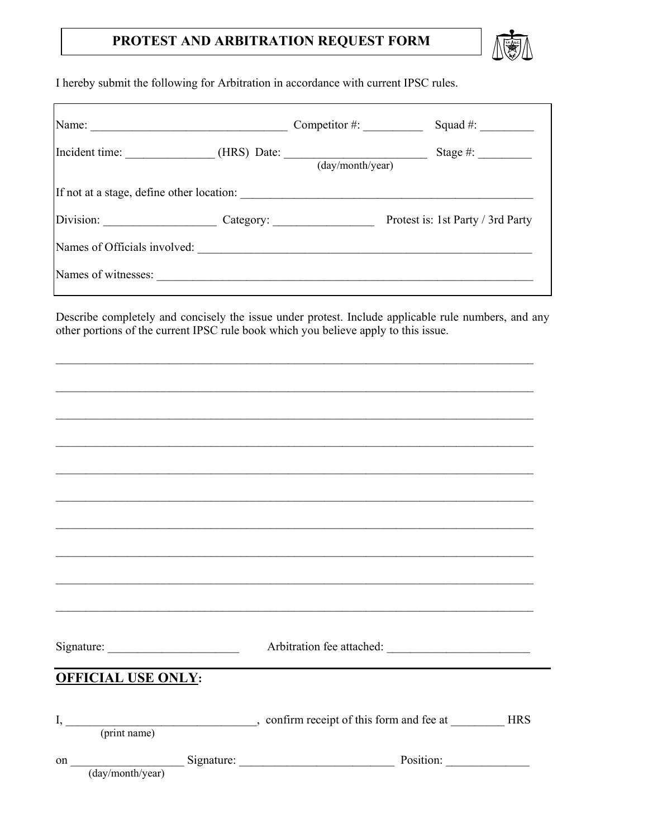## PROTEST AND ARBITRATION REQUEST FORM



I hereby submit the following for Arbitration in accordance with current IPSC rules.

|                                             | Competitor $#$ : | Squad $#$ :                       |
|---------------------------------------------|------------------|-----------------------------------|
| Incident time: (HRS) Date: (day/month/year) |                  | Stage #: $\qquad \qquad$          |
| If not at a stage, define other location:   |                  |                                   |
|                                             |                  | Protest is: 1st Party / 3rd Party |
| Names of Officials involved:                |                  |                                   |
| Names of witnesses:                         |                  |                                   |

Describe completely and concisely the issue under protest. Include applicable rule numbers, and any other portions of the current IPSC rule book which you believe apply to this issue.

|                           | Arbitration fee attached:                          |  |
|---------------------------|----------------------------------------------------|--|
|                           |                                                    |  |
|                           |                                                    |  |
| <b>OFFICIAL USE ONLY:</b> |                                                    |  |
|                           |                                                    |  |
|                           |                                                    |  |
|                           |                                                    |  |
|                           |                                                    |  |
|                           |                                                    |  |
|                           |                                                    |  |
|                           |                                                    |  |
|                           |                                                    |  |
|                           | on (day/month/year) Signature: Position: Position: |  |
|                           |                                                    |  |
|                           |                                                    |  |